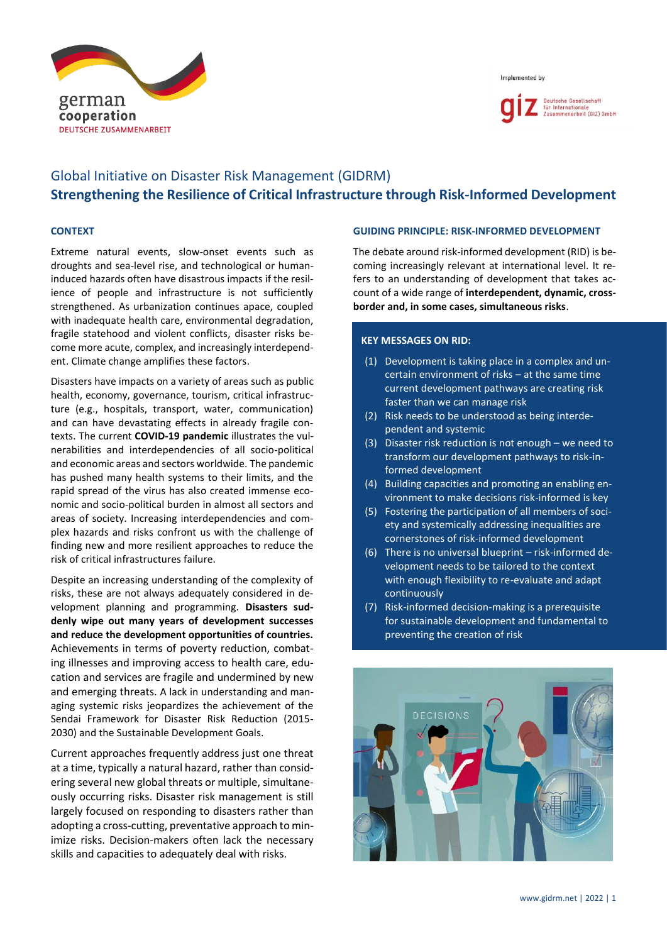

Implemented by



# Global Initiative on Disaster Risk Management (GIDRM) **Strengthening the Resilience of Critical Infrastructure through Risk-Informed Development**

## **CONTEXT**

Extreme natural events, slow-onset events such as droughts and sea-level rise, and technological or humaninduced hazards often have disastrous impacts if the resilience of people and infrastructure is not sufficiently strengthened. As urbanization continues apace, coupled with inadequate health care, environmental degradation, fragile statehood and violent conflicts, disaster risks become more acute, complex, and increasingly interdependent. Climate change amplifies these factors.

Disasters have impacts on a variety of areas such as public health, economy, governance, tourism, critical infrastructure (e.g., hospitals, transport, water, communication) and can have devastating effects in already fragile contexts. The current **COVID-19 pandemic** illustrates the vulnerabilities and interdependencies of all socio-political and economic areas and sectors worldwide. The pandemic has pushed many health systems to their limits, and the rapid spread of the virus has also created immense economic and socio-political burden in almost all sectors and areas of society. Increasing interdependencies and complex hazards and risks confront us with the challenge of finding new and more resilient approaches to reduce the risk of critical infrastructures failure.

Despite an increasing understanding of the complexity of risks, these are not always adequately considered in development planning and programming. **Disasters suddenly wipe out many years of development successes and reduce the development opportunities of countries.** Achievements in terms of poverty reduction, combating illnesses and improving access to health care, education and services are fragile and undermined by new and emerging threats. A lack in understanding and managing systemic risks jeopardizes the achievement of the Sendai Framework for Disaster Risk Reduction (2015- 2030) and the Sustainable Development Goals.

Current approaches frequently address just one threat at a time, typically a natural hazard, rather than considering several new global threats or multiple, simultaneously occurring risks. Disaster risk management is still largely focused on responding to disasters rather than adopting a cross-cutting, preventative approach to minimize risks. Decision-makers often lack the necessary skills and capacities to adequately deal with risks.

#### **GUIDING PRINCIPLE: RISK-INFORMED DEVELOPMENT**

The debate around risk-informed development (RID) is becoming increasingly relevant at international level. It refers to an understanding of development that takes account of a wide range of **interdependent, dynamic, crossborder and, in some cases, simultaneous risks**.

### **KEY MESSAGES ON RID:**

- (1) Development is taking place in a complex and uncertain environment of risks – at the same time current development pathways are creating risk faster than we can manage risk
- (2) Risk needs to be understood as being interdependent and systemic
- (3) Disaster risk reduction is not enough we need to transform our development pathways to risk-informed development
- (4) Building capacities and promoting an enabling environment to make decisions risk-informed is key
- (5) Fostering the participation of all members of society and systemically addressing inequalities are cornerstones of risk-informed development
- (6) There is no universal blueprint risk-informed development needs to be tailored to the context with enough flexibility to re-evaluate and adapt continuously
- (7) Risk-informed decision-making is a prerequisite for sustainable development and fundamental to preventing the creation of risk